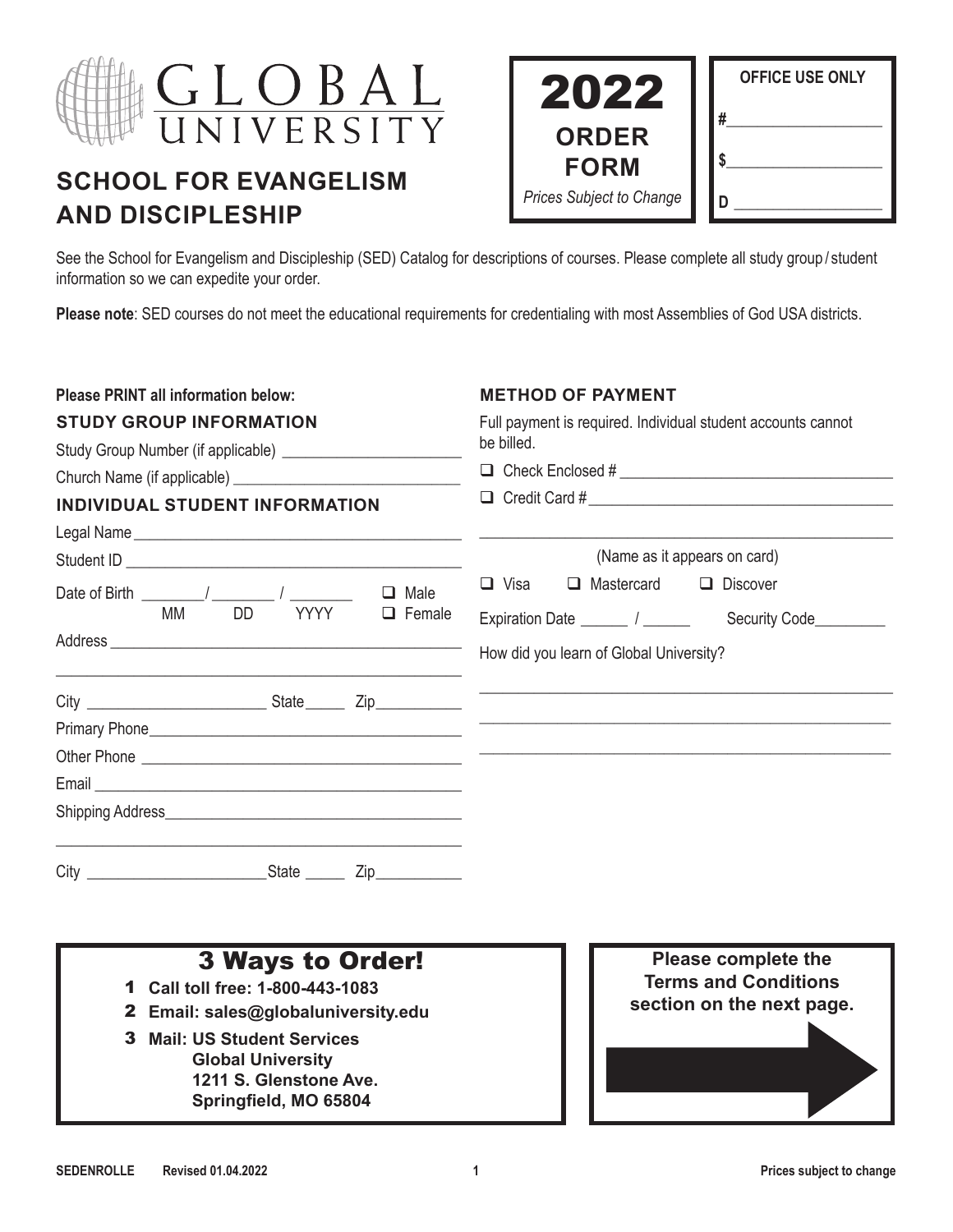

# **SCHOOL FOR EVANGELISM AND DISCIPLESHIP**

| 2022                        | <b>OFFICE USE ONLY</b> |
|-----------------------------|------------------------|
| <b>ORDER</b><br><b>FORM</b> | #                      |
| Prices Subject to Change    |                        |

See the School for Evangelism and Discipleship (SED) Catalog for descriptions of courses. Please complete all study group / student information so we can expedite your order.

**Please note**: SED courses do not meet the educational requirements for credentialing with most Assemblies of God USA districts.

| <b>Please PRINT all information below:</b>                                                                             | <b>METHOD OF PAYMENT</b><br>Full payment is required. Individual student accounts cannot<br>be billed.<br>□ Check Enclosed # <u>_________________________________</u> |  |  |
|------------------------------------------------------------------------------------------------------------------------|-----------------------------------------------------------------------------------------------------------------------------------------------------------------------|--|--|
| <b>STUDY GROUP INFORMATION</b>                                                                                         |                                                                                                                                                                       |  |  |
| INDIVIDUAL STUDENT INFORMATION                                                                                         |                                                                                                                                                                       |  |  |
|                                                                                                                        | (Name as it appears on card)                                                                                                                                          |  |  |
| Date of Birth $\frac{1}{2}$ / $\frac{1}{2}$<br>$\Box$<br>Male<br><b>TEACH YYYY</b><br><b>MM</b><br>DD<br>$\Box$ Female | $\Box$ Visa<br>$\Box$ Mastercard<br>$\Box$ Discover<br>Security Code_________<br>How did you learn of Global University?                                              |  |  |
| <u> 1989 - Johann Stoff, amerikansk politiker (* 1908)</u>                                                             |                                                                                                                                                                       |  |  |
|                                                                                                                        |                                                                                                                                                                       |  |  |
|                                                                                                                        |                                                                                                                                                                       |  |  |
|                                                                                                                        |                                                                                                                                                                       |  |  |
|                                                                                                                        |                                                                                                                                                                       |  |  |
|                                                                                                                        |                                                                                                                                                                       |  |  |

- 1 **Call toll free: 1-800-443-1083**
- 2 **Email: sales@globaluniversity.edu**
- 3 **Mail: US Student Services Global University 1211 S. Glenstone Ave. Springfield, MO 65804**

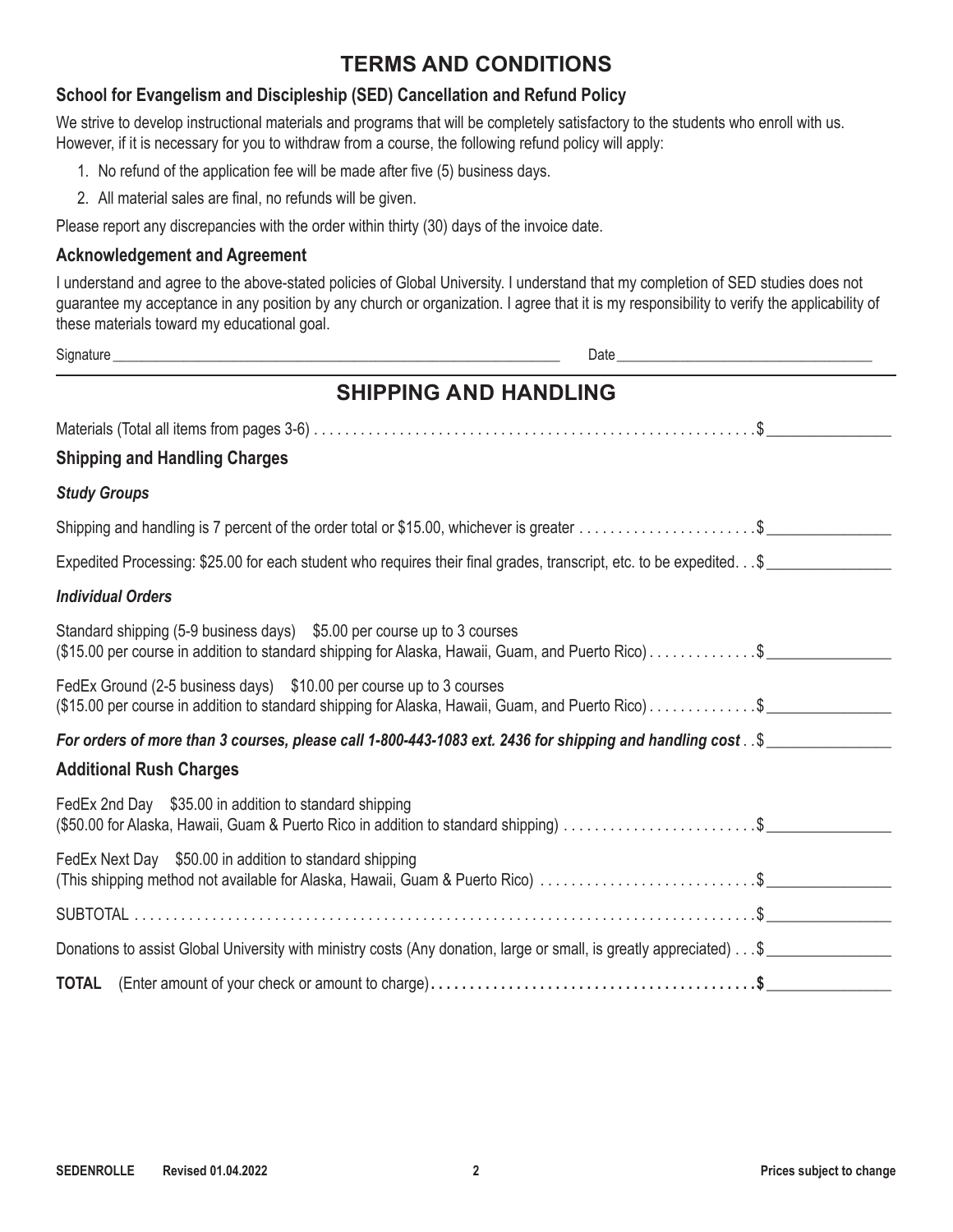# **TERMS AND CONDITIONS**

#### **School for Evangelism and Discipleship (SED) Cancellation and Refund Policy**

We strive to develop instructional materials and programs that will be completely satisfactory to the students who enroll with us. However, if it is necessary for you to withdraw from a course, the following refund policy will apply:

- 1. No refund of the application fee will be made after five (5) business days.
- 2. All material sales are final, no refunds will be given.

Please report any discrepancies with the order within thirty (30) days of the invoice date.

#### **Acknowledgement and Agreement**

I understand and agree to the above-stated policies of Global University. I understand that my completion of SED studies does not guarantee my acceptance in any position by any church or organization. I agree that it is my responsibility to verify the applicability of these materials toward my educational goal.

|                          | Signature<br>Date and the state of the state of the state of the state of the state of the state of the state of the state of the state of the state of the state of the state of the state of the state of the state of the state of the s |
|--------------------------|---------------------------------------------------------------------------------------------------------------------------------------------------------------------------------------------------------------------------------------------|
|                          | <b>SHIPPING AND HANDLING</b>                                                                                                                                                                                                                |
|                          |                                                                                                                                                                                                                                             |
|                          | <b>Shipping and Handling Charges</b>                                                                                                                                                                                                        |
| <b>Study Groups</b>      |                                                                                                                                                                                                                                             |
|                          |                                                                                                                                                                                                                                             |
|                          | Expedited Processing: \$25.00 for each student who requires their final grades, transcript, etc. to be expedited. \$                                                                                                                        |
| <b>Individual Orders</b> |                                                                                                                                                                                                                                             |
|                          | Standard shipping (5-9 business days) \$5.00 per course up to 3 courses<br>(\$15.00 per course in addition to standard shipping for Alaska, Hawaii, Guam, and Puerto Rico)\$                                                                |
|                          | FedEx Ground (2-5 business days) \$10.00 per course up to 3 courses<br>(\$15.00 per course in addition to standard shipping for Alaska, Hawaii, Guam, and Puerto Rico)\$                                                                    |
|                          | For orders of more than 3 courses, please call 1-800-443-1083 ext. 2436 for shipping and handling cost . \$                                                                                                                                 |
|                          | <b>Additional Rush Charges</b>                                                                                                                                                                                                              |
|                          | FedEx 2nd Day \$35.00 in addition to standard shipping                                                                                                                                                                                      |
|                          | FedEx Next Day \$50.00 in addition to standard shipping<br>This shipping method not available for Alaska, Hawaii, Guam & Puerto Rico) \$                                                                                                    |
|                          |                                                                                                                                                                                                                                             |
|                          | Donations to assist Global University with ministry costs (Any donation, large or small, is greatly appreciated) \$                                                                                                                         |
|                          |                                                                                                                                                                                                                                             |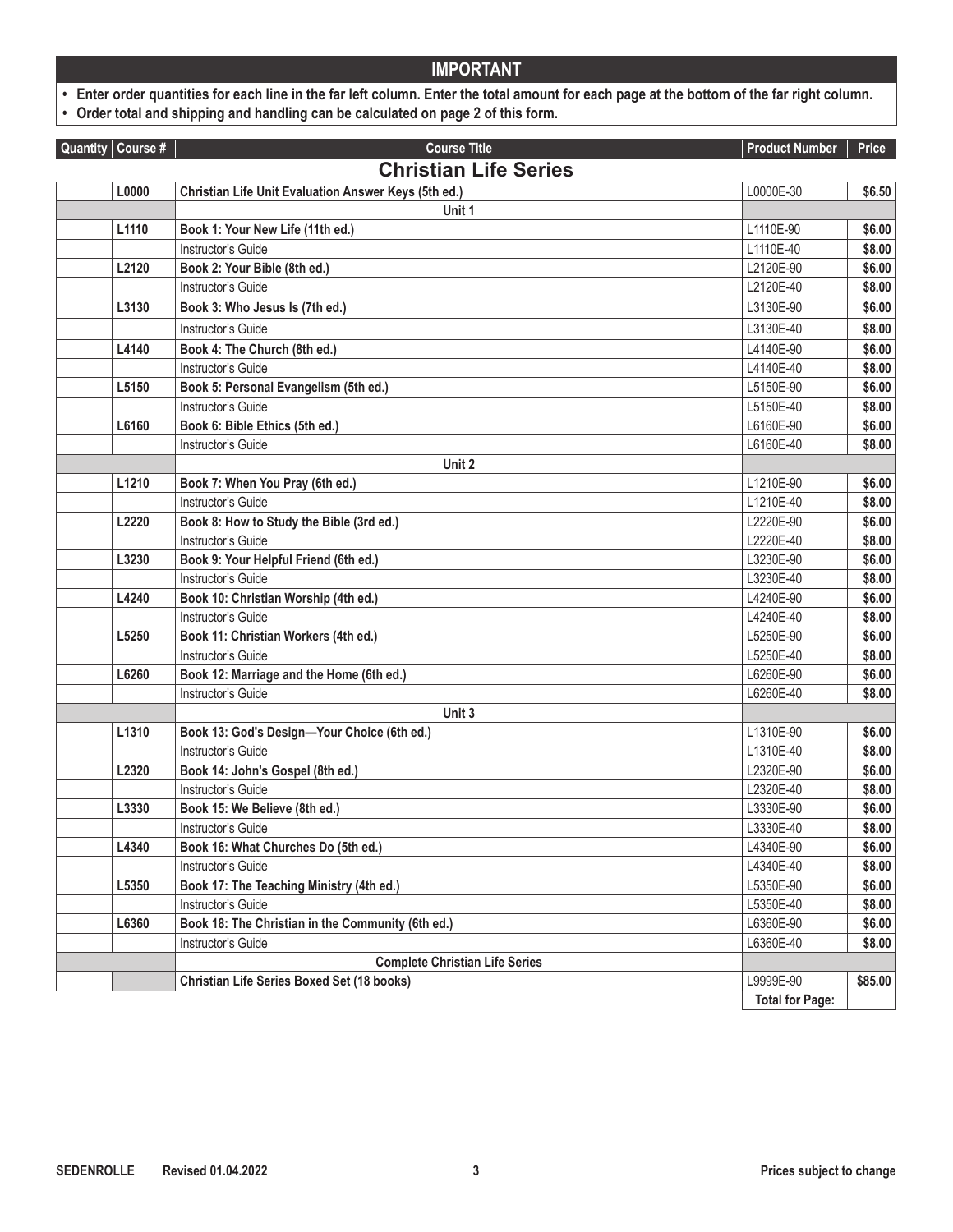**• Enter order quantities for each line in the far left column. Enter the total amount for each page at the bottom of the far right column.** 

**• Order total and shipping and handling can be calculated on page 2 of this form.**

| Quantity $\vert$ Course # | <b>Course Title</b>                                  | <b>Product Number</b>  | Price   |
|---------------------------|------------------------------------------------------|------------------------|---------|
|                           | <b>Christian Life Series</b>                         |                        |         |
| L0000                     | Christian Life Unit Evaluation Answer Keys (5th ed.) | L0000E-30              | \$6.50  |
|                           | Unit 1                                               |                        |         |
| L1110                     | Book 1: Your New Life (11th ed.)                     | L1110E-90              | \$6.00  |
|                           | Instructor's Guide                                   | L1110E-40              | \$8.00  |
| L2120                     | Book 2: Your Bible (8th ed.)                         | L2120E-90              | \$6.00  |
|                           | Instructor's Guide                                   | L2120E-40              | \$8.00  |
| L3130                     | Book 3: Who Jesus Is (7th ed.)                       | L3130E-90              | \$6.00  |
|                           | Instructor's Guide                                   | L3130E-40              | \$8.00  |
| L4140                     | Book 4: The Church (8th ed.)                         | L4140E-90              | \$6.00  |
|                           | Instructor's Guide                                   | L4140E-40              | \$8.00  |
| L5150                     | Book 5: Personal Evangelism (5th ed.)                | L5150E-90              | \$6.00  |
|                           | Instructor's Guide                                   | L5150E-40              | \$8.00  |
| L6160                     | Book 6: Bible Ethics (5th ed.)                       | L6160E-90              | \$6.00  |
|                           | Instructor's Guide                                   | L6160E-40              | \$8.00  |
|                           | Unit 2                                               |                        |         |
| L1210                     | Book 7: When You Pray (6th ed.)                      | L1210E-90              | \$6.00  |
|                           | Instructor's Guide                                   | L1210E-40              | \$8.00  |
| L2220                     | Book 8: How to Study the Bible (3rd ed.)             | L2220E-90              | \$6.00  |
|                           | Instructor's Guide                                   | L2220E-40              | \$8.00  |
| L3230                     | Book 9: Your Helpful Friend (6th ed.)                | L3230E-90              | \$6.00  |
|                           | Instructor's Guide                                   | L3230E-40              | \$8.00  |
| L4240                     | Book 10: Christian Worship (4th ed.)                 | L4240E-90              | \$6.00  |
|                           | Instructor's Guide                                   | L4240E-40              | \$8.00  |
| L5250                     | Book 11: Christian Workers (4th ed.)                 | L5250E-90              | \$6.00  |
|                           | Instructor's Guide                                   | L5250E-40              | \$8.00  |
| L6260                     | Book 12: Marriage and the Home (6th ed.)             | L6260E-90              | \$6.00  |
|                           | Instructor's Guide                                   | L6260E-40              | \$8.00  |
|                           | Unit 3                                               |                        |         |
| L1310                     | Book 13: God's Design-Your Choice (6th ed.)          | L1310E-90              | \$6.00  |
|                           | Instructor's Guide                                   | L1310E-40              | \$8.00  |
| L2320                     | Book 14: John's Gospel (8th ed.)                     | L2320E-90              | \$6.00  |
|                           | Instructor's Guide                                   | L2320E-40              | \$8.00  |
| L3330                     | Book 15: We Believe (8th ed.)                        | L3330E-90              | \$6.00  |
|                           | Instructor's Guide                                   | L3330E-40              | \$8.00  |
| L4340                     | Book 16: What Churches Do (5th ed.)                  | L4340E-90              | \$6.00  |
|                           | Instructor's Guide                                   | L4340E-40              | \$8.00  |
| L5350                     | Book 17: The Teaching Ministry (4th ed.)             | L5350E-90              | \$6.00  |
|                           | Instructor's Guide                                   | L5350E-40              | \$8.00  |
| L6360                     | Book 18: The Christian in the Community (6th ed.)    | L6360E-90              | \$6.00  |
|                           | Instructor's Guide                                   | L6360E-40              | \$8.00  |
|                           | <b>Complete Christian Life Series</b>                |                        |         |
|                           | Christian Life Series Boxed Set (18 books)           | L9999E-90              | \$85.00 |
|                           |                                                      | <b>Total for Page:</b> |         |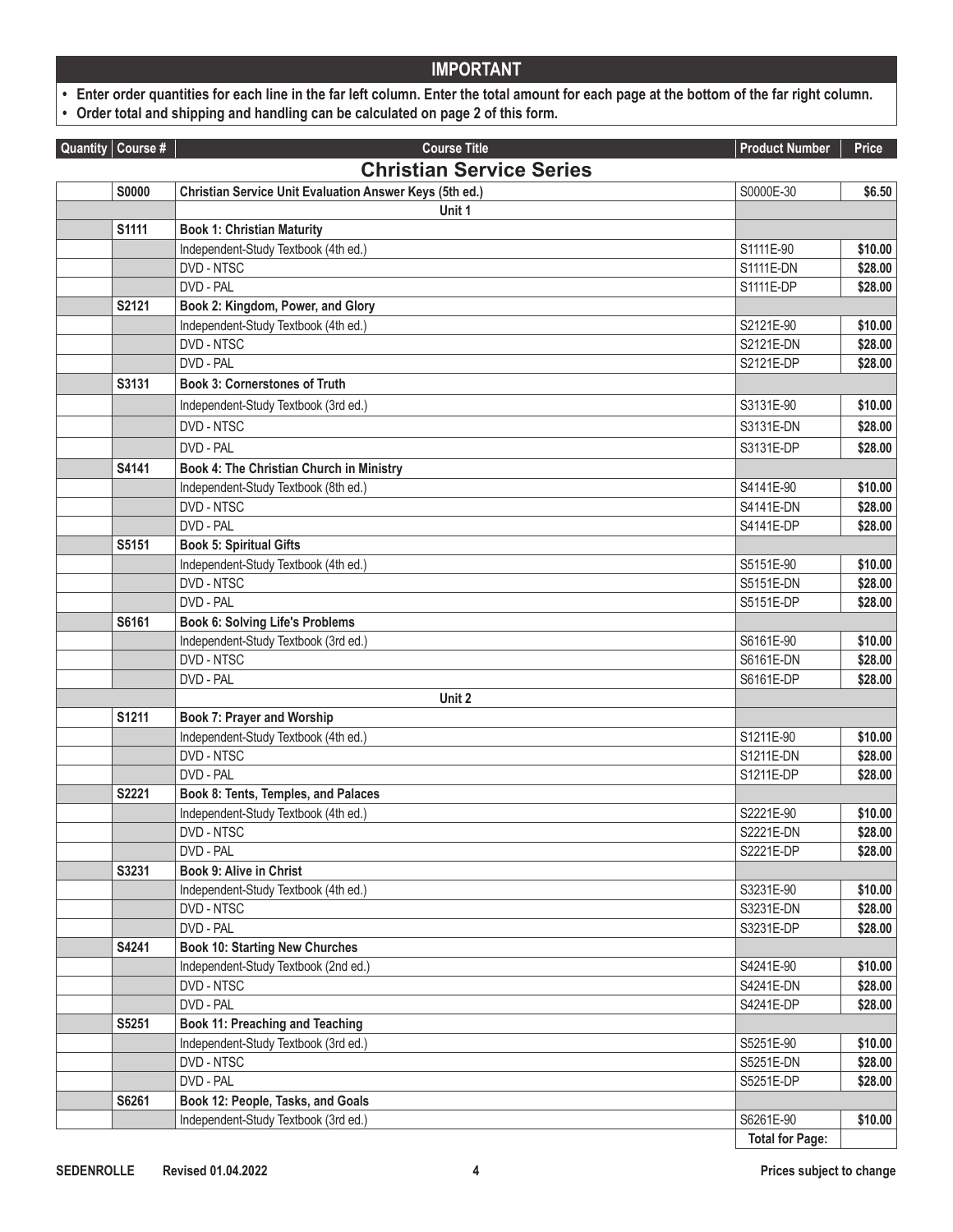**• Enter order quantities for each line in the far left column. Enter the total amount for each page at the bottom of the far right column.** 

**• Order total and shipping and handling can be calculated on page 2 of this form.**

| Quantity Course # | <b>Course Title</b>                                            | <b>Product Number</b>  | Price              |
|-------------------|----------------------------------------------------------------|------------------------|--------------------|
|                   | <b>Christian Service Series</b>                                |                        |                    |
| <b>S0000</b>      | <b>Christian Service Unit Evaluation Answer Keys (5th ed.)</b> | S0000E-30              | \$6.50             |
|                   | Unit 1                                                         |                        |                    |
| S1111             | <b>Book 1: Christian Maturity</b>                              |                        |                    |
|                   | Independent-Study Textbook (4th ed.)                           | S1111E-90              | \$10.00            |
|                   | DVD - NTSC                                                     | S1111E-DN              | \$28.00            |
|                   | DVD - PAL                                                      | S1111E-DP              | \$28.00            |
| S2121             | Book 2: Kingdom, Power, and Glory                              |                        |                    |
|                   | Independent-Study Textbook (4th ed.)                           | S2121E-90              | \$10.00            |
|                   | DVD - NTSC                                                     | S2121E-DN              | \$28.00            |
|                   | DVD - PAL                                                      | S2121E-DP              | \$28.00            |
| S3131             | <b>Book 3: Cornerstones of Truth</b>                           |                        |                    |
|                   | Independent-Study Textbook (3rd ed.)                           | S3131E-90              | \$10.00            |
|                   | DVD - NTSC                                                     | S3131E-DN              | \$28.00            |
|                   | DVD - PAL                                                      | S3131E-DP              | \$28.00            |
| S4141             | Book 4: The Christian Church in Ministry                       |                        |                    |
|                   | Independent-Study Textbook (8th ed.)                           | S4141E-90              | \$10.00            |
|                   | DVD - NTSC                                                     | S4141E-DN              | \$28.00            |
|                   | DVD - PAL                                                      | S4141E-DP              | \$28.00            |
| S5151             | <b>Book 5: Spiritual Gifts</b>                                 |                        |                    |
|                   | Independent-Study Textbook (4th ed.)                           | S5151E-90              | \$10.00            |
|                   | DVD - NTSC                                                     | S5151E-DN              | \$28.00            |
|                   | DVD - PAL                                                      | S5151E-DP              | \$28.00            |
| S6161             | <b>Book 6: Solving Life's Problems</b>                         |                        |                    |
|                   | Independent-Study Textbook (3rd ed.)                           | S6161E-90              | \$10.00            |
|                   | DVD - NTSC                                                     | S6161E-DN              | \$28.00            |
|                   | DVD - PAL                                                      | S6161E-DP              | \$28.00            |
|                   | Unit 2                                                         |                        |                    |
| S1211             | <b>Book 7: Prayer and Worship</b>                              |                        |                    |
|                   | Independent-Study Textbook (4th ed.)                           | S1211E-90              | \$10.00            |
|                   | DVD - NTSC                                                     | S1211E-DN              | \$28.00            |
|                   | DVD - PAL                                                      | S1211E-DP              | \$28.00            |
| S2221             | Book 8: Tents, Temples, and Palaces                            |                        |                    |
|                   | Independent-Study Textbook (4th ed.)                           | S2221E-90              | \$10.00            |
|                   | DVD - NTSC                                                     | S2221E-DN              | \$28.00            |
|                   | DVD - PAL                                                      | S2221E-DP              | \$28.00            |
| S3231             | <b>Book 9: Alive in Christ</b>                                 |                        |                    |
|                   | Independent-Study Textbook (4th ed.)                           | S3231E-90              | \$10.00            |
|                   | DVD - NTSC                                                     | S3231E-DN              | \$28.00            |
|                   | DVD - PAL                                                      | S3231E-DP              | \$28.00            |
| S4241             | <b>Book 10: Starting New Churches</b>                          |                        |                    |
|                   | Independent-Study Textbook (2nd ed.)                           | S4241E-90              | \$10.00            |
|                   | DVD - NTSC                                                     | S4241E-DN              | \$28.00            |
|                   | DVD - PAL                                                      | S4241E-DP              | \$28.00            |
| S5251             | <b>Book 11: Preaching and Teaching</b>                         |                        |                    |
|                   | Independent-Study Textbook (3rd ed.)                           | S5251E-90              | \$10.00            |
|                   | DVD - NTSC<br>DVD - PAL                                        | S5251E-DN<br>S5251E-DP | \$28.00<br>\$28.00 |
| S6261             | Book 12: People, Tasks, and Goals                              |                        |                    |
|                   | Independent-Study Textbook (3rd ed.)                           | S6261E-90              | \$10.00            |
|                   |                                                                | <b>Total for Page:</b> |                    |
|                   |                                                                |                        |                    |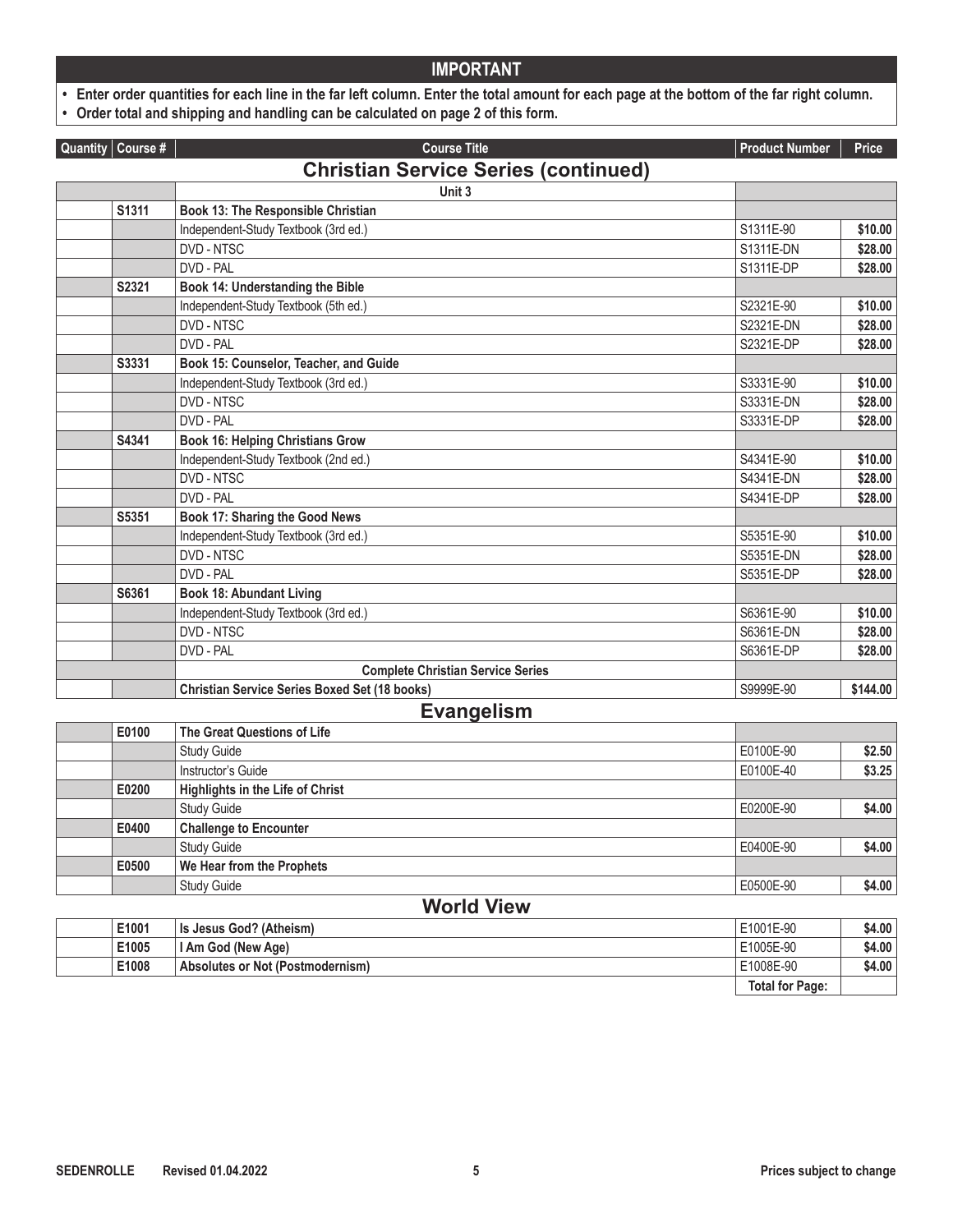**• Enter order quantities for each line in the far left column. Enter the total amount for each page at the bottom of the far right column.** 

**• Order total and shipping and handling can be calculated on page 2 of this form.**

| Quantity Course #                           | <b>Course Title</b>                                  | <b>Product Number</b> | Price    |  |
|---------------------------------------------|------------------------------------------------------|-----------------------|----------|--|
| <b>Christian Service Series (continued)</b> |                                                      |                       |          |  |
|                                             | Unit 3                                               |                       |          |  |
| S1311                                       | Book 13: The Responsible Christian                   |                       |          |  |
|                                             | Independent-Study Textbook (3rd ed.)                 | S1311E-90             | \$10.00  |  |
|                                             | DVD - NTSC                                           | S1311E-DN             | \$28.00  |  |
|                                             | DVD - PAL                                            | S1311E-DP             | \$28.00  |  |
| S2321                                       | Book 14: Understanding the Bible                     |                       |          |  |
|                                             | Independent-Study Textbook (5th ed.)                 | S2321E-90             | \$10.00  |  |
|                                             | DVD - NTSC                                           | S2321E-DN             | \$28.00  |  |
|                                             | DVD - PAL                                            | S2321E-DP             | \$28.00  |  |
| S3331                                       | Book 15: Counselor, Teacher, and Guide               |                       |          |  |
|                                             | Independent-Study Textbook (3rd ed.)                 | S3331E-90             | \$10.00  |  |
|                                             | DVD - NTSC                                           | S3331E-DN             | \$28.00  |  |
|                                             | DVD - PAL                                            | S3331E-DP             | \$28.00  |  |
| S4341                                       | <b>Book 16: Helping Christians Grow</b>              |                       |          |  |
|                                             | Independent-Study Textbook (2nd ed.)                 | S4341E-90             | \$10.00  |  |
|                                             | DVD - NTSC                                           | S4341E-DN             | \$28.00  |  |
|                                             | DVD - PAL                                            | S4341E-DP             | \$28.00  |  |
| S5351                                       | Book 17: Sharing the Good News                       |                       |          |  |
|                                             | Independent-Study Textbook (3rd ed.)                 | S5351E-90             | \$10.00  |  |
|                                             | DVD - NTSC                                           | S5351E-DN             | \$28.00  |  |
|                                             | DVD - PAL                                            | S5351E-DP             | \$28.00  |  |
| S6361                                       | <b>Book 18: Abundant Living</b>                      |                       |          |  |
|                                             | Independent-Study Textbook (3rd ed.)                 | S6361E-90             | \$10.00  |  |
|                                             | DVD - NTSC                                           | S6361E-DN             | \$28.00  |  |
|                                             | DVD - PAL                                            | S6361E-DP             | \$28.00  |  |
|                                             | <b>Complete Christian Service Series</b>             |                       |          |  |
|                                             | <b>Christian Service Series Boxed Set (18 books)</b> | S9999E-90             | \$144.00 |  |

#### **Evangelism**

| E0100 | The Great Questions of Life             |           |        |
|-------|-----------------------------------------|-----------|--------|
|       | <b>Study Guide</b>                      | E0100E-90 | \$2.50 |
|       | Instructor's Guide                      | E0100E-40 | \$3.25 |
| E0200 | <b>Highlights in the Life of Christ</b> |           |        |
|       | <b>Study Guide</b>                      | E0200E-90 | \$4.00 |
| E0400 | <b>Challenge to Encounter</b>           |           |        |
|       | <b>Study Guide</b>                      | E0400E-90 | \$4.00 |
| E0500 | We Hear from the Prophets               |           |        |
|       | <b>Study Guide</b>                      | E0500E-90 | \$4.00 |
|       | <i>Morld Viow</i>                       |           |        |

| <b>TUBER THE</b> |                                  |                        |        |
|------------------|----------------------------------|------------------------|--------|
| E1001            | <b>Is Jesus God? (Atheism)</b>   | E1001E-90              | \$4.00 |
| E1005            | I Am God (New Age)               | E1005E-90              | \$4.00 |
| E1008            | Absolutes or Not (Postmodernism) | E1008E-90              | \$4.00 |
|                  |                                  | <b>Total for Page:</b> |        |